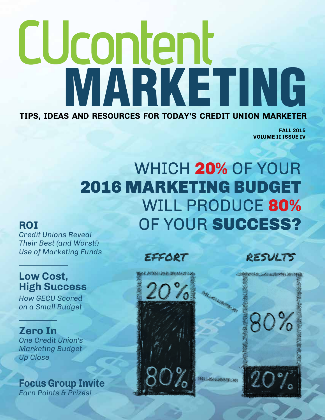# CUcontent Marketing **TIPS, IDEAS AND RESOURCES FOR TODAY'S CREDIT UNION MARKETER**

**fall 2015 volume II issue IV**

# Which 20% of Your 2016 Marketing Budget WILL PRODUCE 80% OF YOUR SUCCESS?

#### **ROI**

*Credit Unions Reveal Their Best (and Worst!) Use of Marketing Funds*

### **Low Cost, High Success**

*How GECU Scored on a Small Budget*

## **Zero In**

*One Credit Union's Marketing Budget Up Close*

#### **Focus Group Invite**  *Earn Points & Prizes!*

EFFORT





©2015 CUcontent.com | 877-288-2669 | 1